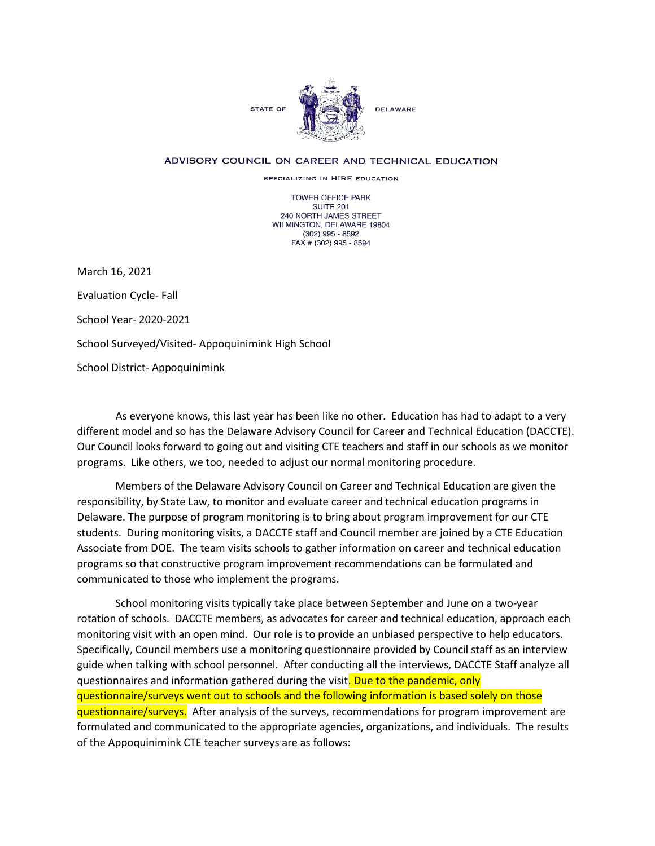

## ADVISORY COUNCIL ON CAREER AND TECHNICAL EDUCATION

SPECIALIZING IN HIRE EDUCATION

**TOWER OFFICE PARK SUITE 201** 240 NORTH JAMES STREET WILMINGTON, DELAWARE 19804  $(302)$  995 - 8592 FAX # (302) 995 - 8594

March 16, 2021

Evaluation Cycle- Fall

School Year- 2020-2021

School Surveyed/Visited- Appoquinimink High School

School District- Appoquinimink

As everyone knows, this last year has been like no other. Education has had to adapt to a very different model and so has the Delaware Advisory Council for Career and Technical Education (DACCTE). Our Council looks forward to going out and visiting CTE teachers and staff in our schools as we monitor programs. Like others, we too, needed to adjust our normal monitoring procedure.

Members of the Delaware Advisory Council on Career and Technical Education are given the responsibility, by State Law, to monitor and evaluate career and technical education programs in Delaware. The purpose of program monitoring is to bring about program improvement for our CTE students. During monitoring visits, a DACCTE staff and Council member are joined by a CTE Education Associate from DOE. The team visits schools to gather information on career and technical education programs so that constructive program improvement recommendations can be formulated and communicated to those who implement the programs.

School monitoring visits typically take place between September and June on a two-year rotation of schools. DACCTE members, as advocates for career and technical education, approach each monitoring visit with an open mind. Our role is to provide an unbiased perspective to help educators. Specifically, Council members use a monitoring questionnaire provided by Council staff as an interview guide when talking with school personnel. After conducting all the interviews, DACCTE Staff analyze all questionnaires and information gathered during the visit. Due to the pandemic, only questionnaire/surveys went out to schools and the following information is based solely on those questionnaire/surveys. After analysis of the surveys, recommendations for program improvement are formulated and communicated to the appropriate agencies, organizations, and individuals. The results of the Appoquinimink CTE teacher surveys are as follows: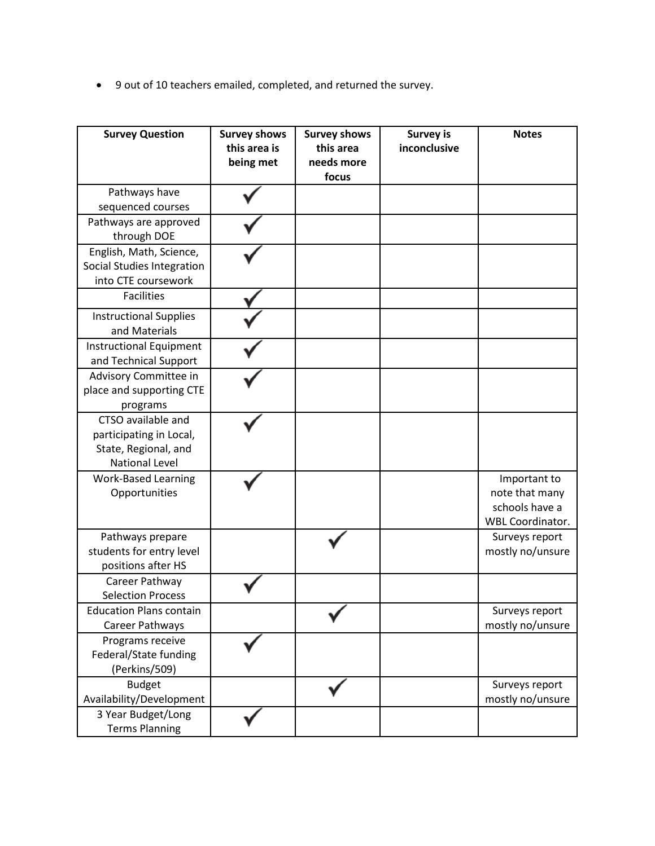• 9 out of 10 teachers emailed, completed, and returned the survey.

| <b>Survey Question</b>                                                                         | <b>Survey shows</b><br>this area is<br>being met | <b>Survey shows</b><br>this area<br>needs more<br>focus | <b>Survey is</b><br>inconclusive | <b>Notes</b>                                                                |
|------------------------------------------------------------------------------------------------|--------------------------------------------------|---------------------------------------------------------|----------------------------------|-----------------------------------------------------------------------------|
| Pathways have<br>sequenced courses                                                             |                                                  |                                                         |                                  |                                                                             |
| Pathways are approved<br>through DOE                                                           |                                                  |                                                         |                                  |                                                                             |
| English, Math, Science,<br>Social Studies Integration<br>into CTE coursework                   |                                                  |                                                         |                                  |                                                                             |
| <b>Facilities</b>                                                                              |                                                  |                                                         |                                  |                                                                             |
| <b>Instructional Supplies</b><br>and Materials                                                 |                                                  |                                                         |                                  |                                                                             |
| <b>Instructional Equipment</b><br>and Technical Support                                        |                                                  |                                                         |                                  |                                                                             |
| Advisory Committee in<br>place and supporting CTE<br>programs                                  |                                                  |                                                         |                                  |                                                                             |
| CTSO available and<br>participating in Local,<br>State, Regional, and<br><b>National Level</b> |                                                  |                                                         |                                  |                                                                             |
| <b>Work-Based Learning</b><br>Opportunities                                                    |                                                  |                                                         |                                  | Important to<br>note that many<br>schools have a<br><b>WBL Coordinator.</b> |
| Pathways prepare<br>students for entry level<br>positions after HS                             |                                                  |                                                         |                                  | Surveys report<br>mostly no/unsure                                          |
| Career Pathway<br><b>Selection Process</b>                                                     |                                                  |                                                         |                                  |                                                                             |
| <b>Education Plans contain</b><br>Career Pathways                                              |                                                  |                                                         |                                  | Surveys report<br>mostly no/unsure                                          |
| Programs receive<br>Federal/State funding<br>(Perkins/509)                                     |                                                  |                                                         |                                  |                                                                             |
| <b>Budget</b><br>Availability/Development                                                      |                                                  |                                                         |                                  | Surveys report<br>mostly no/unsure                                          |
| 3 Year Budget/Long<br><b>Terms Planning</b>                                                    |                                                  |                                                         |                                  |                                                                             |